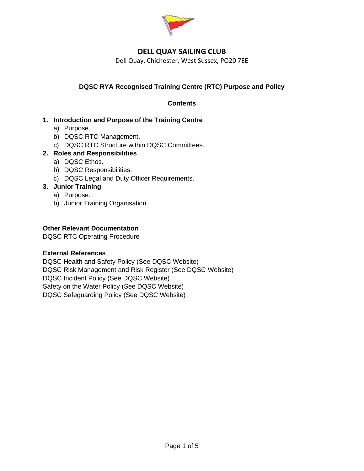

Dell Quay, Chichester, West Sussex, PO20 7EE

# **DQSC RYA Recognised Training Centre (RTC) Purpose and Policy**

## **Contents**

## **1. Introduction and Purpose of the Training Centre**

- a) Purpose.
- b) DQSC RTC Management.
- c) DQSC RTC Structure within DQSC Committees.

## **2. Roles and Responsibilities**

- a) DQSC Ethos.
- b) DQSC Responsibilities.
- c) DQSC Legal and Duty Officer Requirements.

## **3. Junior Training**

- a) Purpose.
- b) Junior Training Organisation.

#### **Other Relevant Documentation**

DQSC RTC Operating Procedure

#### **External References**

DQSC Health and Safety Policy (See DQSC Website) DQSC Risk Management and Risk Register (See DQSC Website) DQSC Incident Policy (See DQSC Website) Safety on the Water Policy (See DQSC Website) DQSC Safeguarding Policy (See DQSC Website)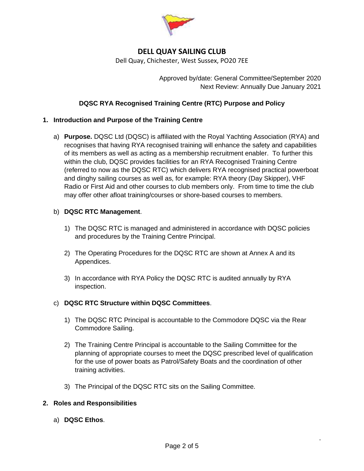

Dell Quay, Chichester, West Sussex, PO20 7EE

Approved by/date: General Committee/September 2020 Next Review: Annually Due January 2021

## **DQSC RYA Recognised Training Centre (RTC) Purpose and Policy**

#### **1. Introduction and Purpose of the Training Centre**

a) **Purpose.** DQSC Ltd (DQSC) is affiliated with the Royal Yachting Association (RYA) and recognises that having RYA recognised training will enhance the safety and capabilities of its members as well as acting as a membership recruitment enabler. To further this within the club, DQSC provides facilities for an RYA Recognised Training Centre (referred to now as the DQSC RTC) which delivers RYA recognised practical powerboat and dinghy sailing courses as well as, for example: RYA theory (Day Skipper), VHF Radio or First Aid and other courses to club members only. From time to time the club may offer other afloat training/courses or shore-based courses to members.

#### b) **DQSC RTC Management**.

- 1) The DQSC RTC is managed and administered in accordance with DQSC policies and procedures by the Training Centre Principal.
- 2) The Operating Procedures for the DQSC RTC are shown at Annex A and its Appendices.
- 3) In accordance with RYA Policy the DQSC RTC is audited annually by RYA inspection.

#### c) **DQSC RTC Structure within DQSC Committees**.

- 1) The DQSC RTC Principal is accountable to the Commodore DQSC via the Rear Commodore Sailing.
- 2) The Training Centre Principal is accountable to the Sailing Committee for the planning of appropriate courses to meet the DQSC prescribed level of qualification for the use of power boats as Patrol/Safety Boats and the coordination of other training activities.
- 3) The Principal of the DQSC RTC sits on the Sailing Committee.

#### **2. Roles and Responsibilities**

a) **DQSC Ethos**.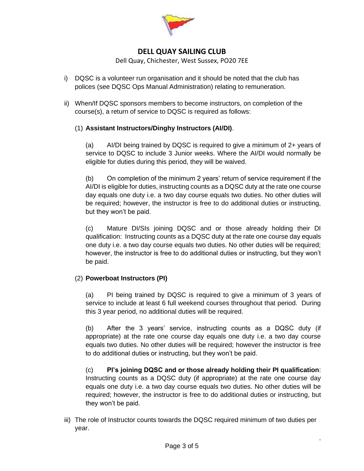

Dell Quay, Chichester, West Sussex, PO20 7EE

- i) DQSC is a volunteer run organisation and it should be noted that the club has polices (see DQSC Ops Manual Administration) relating to remuneration.
- ii) When/If DQSC sponsors members to become instructors, on completion of the course(s), a return of service to DQSC is required as follows:

## (1) **Assistant Instructors/Dinghy Instructors (AI/DI)**.

(a) AI/DI being trained by DQSC is required to give a minimum of 2+ years of service to DQSC to include 3 Junior weeks. Where the AI/DI would normally be eligible for duties during this period, they will be waived.

(b) On completion of the minimum 2 years' return of service requirement if the AI/DI is eligible for duties, instructing counts as a DQSC duty at the rate one course day equals one duty i.e. a two day course equals two duties. No other duties will be required; however, the instructor is free to do additional duties or instructing, but they won't be paid.

(c) Mature DI/SIs joining DQSC and or those already holding their DI qualification: Instructing counts as a DQSC duty at the rate one course day equals one duty i.e. a two day course equals two duties. No other duties will be required; however, the instructor is free to do additional duties or instructing, but they won't be paid.

# (2) **Powerboat Instructors (PI)**

(a) PI being trained by DQSC is required to give a minimum of 3 years of service to include at least 6 full weekend courses throughout that period. During this 3 year period, no additional duties will be required.

(b) After the 3 years' service, instructing counts as a DQSC duty (if appropriate) at the rate one course day equals one duty i.e. a two day course equals two duties. No other duties will be required; however the instructor is free to do additional duties or instructing, but they won't be paid.

(c) **PI's joining DQSC and or those already holding their PI qualification**: Instructing counts as a DQSC duty (if appropriate) at the rate one course day equals one duty i.e. a two day course equals two duties. No other duties will be required; however, the instructor is free to do additional duties or instructing, but they won't be paid.

.

iii) The role of Instructor counts towards the DQSC required minimum of two duties per year.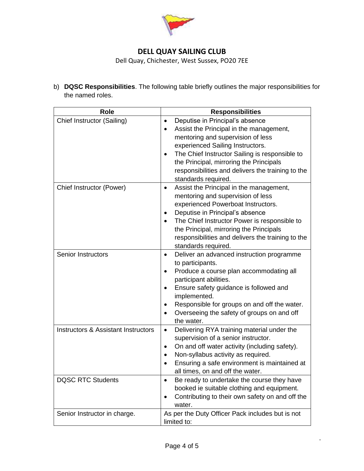

Dell Quay, Chichester, West Sussex, PO20 7EE

b) **DQSC Responsibilities**. The following table briefly outlines the major responsibilities for the named roles.

| <b>Role</b>                                    | <b>Responsibilities</b>                                                                                                                                                                                                                                                                                                                                             |
|------------------------------------------------|---------------------------------------------------------------------------------------------------------------------------------------------------------------------------------------------------------------------------------------------------------------------------------------------------------------------------------------------------------------------|
| Chief Instructor (Sailing)                     | Deputise in Principal's absence<br>$\bullet$<br>Assist the Principal in the management,<br>$\bullet$<br>mentoring and supervision of less<br>experienced Sailing Instructors.<br>The Chief Instructor Sailing is responsible to<br>$\bullet$<br>the Principal, mirroring the Principals<br>responsibilities and delivers the training to the<br>standards required. |
| Chief Instructor (Power)                       | Assist the Principal in the management,<br>$\bullet$<br>mentoring and supervision of less<br>experienced Powerboat Instructors.<br>Deputise in Principal's absence<br>٠<br>The Chief Instructor Power is responsible to<br>the Principal, mirroring the Principals<br>responsibilities and delivers the training to the<br>standards required.                      |
| <b>Senior Instructors</b>                      | Deliver an advanced instruction programme<br>$\bullet$<br>to participants.<br>Produce a course plan accommodating all<br>٠<br>participant abilities.<br>Ensure safety guidance is followed and<br>$\bullet$<br>implemented.<br>Responsible for groups on and off the water.<br>$\bullet$<br>Overseeing the safety of groups on and off<br>$\bullet$<br>the water.   |
| <b>Instructors &amp; Assistant Instructors</b> | Delivering RYA training material under the<br>$\bullet$<br>supervision of a senior instructor.<br>On and off water activity (including safety).<br>٠<br>Non-syllabus activity as required.<br>$\bullet$<br>Ensuring a safe environment is maintained at<br>all times, on and off the water.                                                                         |
| <b>DQSC RTC Students</b>                       | Be ready to undertake the course they have<br>$\bullet$<br>booked ie suitable clothing and equipment.<br>Contributing to their own safety on and off the<br>$\bullet$<br>water.                                                                                                                                                                                     |
| Senior Instructor in charge.                   | As per the Duty Officer Pack includes but is not<br>limited to:                                                                                                                                                                                                                                                                                                     |